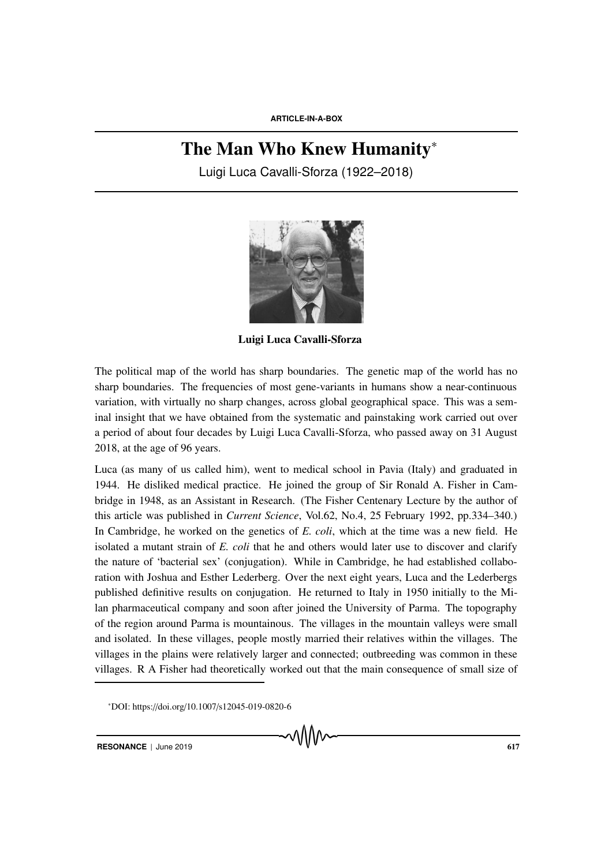## The Man Who Knew Humanity<sup>\*</sup>

Luigi Luca Cavalli-Sforza (1922–2018)



Luigi Luca Cavalli-Sforza

The political map of the world has sharp boundaries. The genetic map of the world has no sharp boundaries. The frequencies of most gene-variants in humans show a near-continuous variation, with virtually no sharp changes, across global geographical space. This was a seminal insight that we have obtained from the systematic and painstaking work carried out over a period of about four decades by Luigi Luca Cavalli-Sforza, who passed away on 31 August 2018, at the age of 96 years.

Luca (as many of us called him), went to medical school in Pavia (Italy) and graduated in 1944. He disliked medical practice. He joined the group of Sir Ronald A. Fisher in Cambridge in 1948, as an Assistant in Research. (The Fisher Centenary Lecture by the author of this article was published in *Current Science*, Vol.62, No.4, 25 February 1992, pp.334–340.) In Cambridge, he worked on the genetics of *E. coli*, which at the time was a new field. He isolated a mutant strain of *E. coli* that he and others would later use to discover and clarify the nature of 'bacterial sex' (conjugation). While in Cambridge, he had established collaboration with Joshua and Esther Lederberg. Over the next eight years, Luca and the Lederbergs published definitive results on conjugation. He returned to Italy in 1950 initially to the Milan pharmaceutical company and soon after joined the University of Parma. The topography of the region around Parma is mountainous. The villages in the mountain valleys were small and isolated. In these villages, people mostly married their relatives within the villages. The villages in the plains were relatively larger and connected; outbreeding was common in these villages. R A Fisher had theoretically worked out that the main consequence of small size of

<sup>∗</sup>DOI: https://doi.org/10.1007/s12045-019-0820-6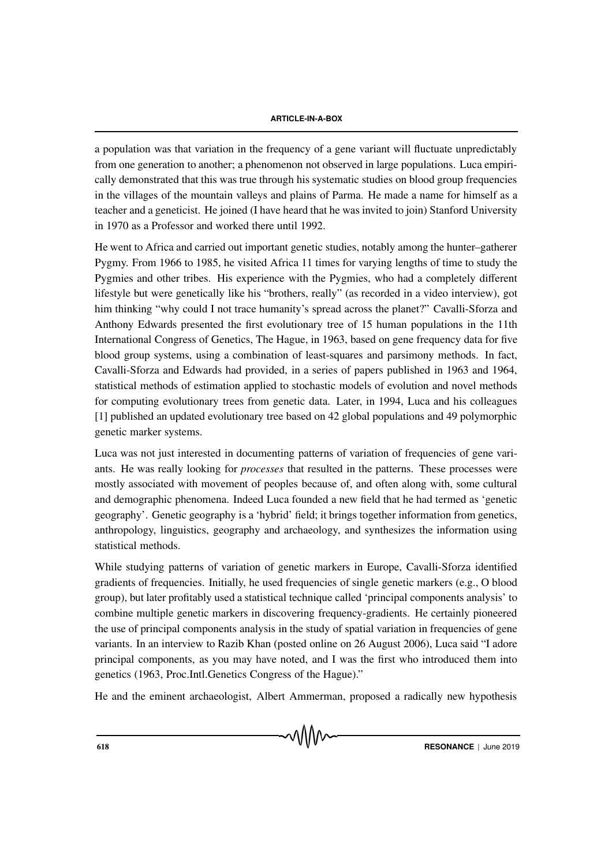a population was that variation in the frequency of a gene variant will fluctuate unpredictably from one generation to another; a phenomenon not observed in large populations. Luca empirically demonstrated that this was true through his systematic studies on blood group frequencies in the villages of the mountain valleys and plains of Parma. He made a name for himself as a teacher and a geneticist. He joined (I have heard that he was invited to join) Stanford University in 1970 as a Professor and worked there until 1992.

He went to Africa and carried out important genetic studies, notably among the hunter–gatherer Pygmy. From 1966 to 1985, he visited Africa 11 times for varying lengths of time to study the Pygmies and other tribes. His experience with the Pygmies, who had a completely different lifestyle but were genetically like his "brothers, really" (as recorded in a video interview), got him thinking "why could I not trace humanity's spread across the planet?" Cavalli-Sforza and Anthony Edwards presented the first evolutionary tree of 15 human populations in the 11th International Congress of Genetics, The Hague, in 1963, based on gene frequency data for five blood group systems, using a combination of least-squares and parsimony methods. In fact, Cavalli-Sforza and Edwards had provided, in a series of papers published in 1963 and 1964, statistical methods of estimation applied to stochastic models of evolution and novel methods for computing evolutionary trees from genetic data. Later, in 1994, Luca and his colleagues [1] published an updated evolutionary tree based on 42 global populations and 49 polymorphic genetic marker systems.

Luca was not just interested in documenting patterns of variation of frequencies of gene variants. He was really looking for *processes* that resulted in the patterns. These processes were mostly associated with movement of peoples because of, and often along with, some cultural and demographic phenomena. Indeed Luca founded a new field that he had termed as 'genetic geography'. Genetic geography is a 'hybrid' field; it brings together information from genetics, anthropology, linguistics, geography and archaeology, and synthesizes the information using statistical methods.

While studying patterns of variation of genetic markers in Europe, Cavalli-Sforza identified gradients of frequencies. Initially, he used frequencies of single genetic markers (e.g., O blood group), but later profitably used a statistical technique called 'principal components analysis' to combine multiple genetic markers in discovering frequency-gradients. He certainly pioneered the use of principal components analysis in the study of spatial variation in frequencies of gene variants. In an interview to Razib Khan (posted online on 26 August 2006), Luca said "I adore principal components, as you may have noted, and I was the first who introduced them into genetics (1963, Proc.Intl.Genetics Congress of the Hague)."

He and the eminent archaeologist, Albert Ammerman, proposed a radically new hypothesis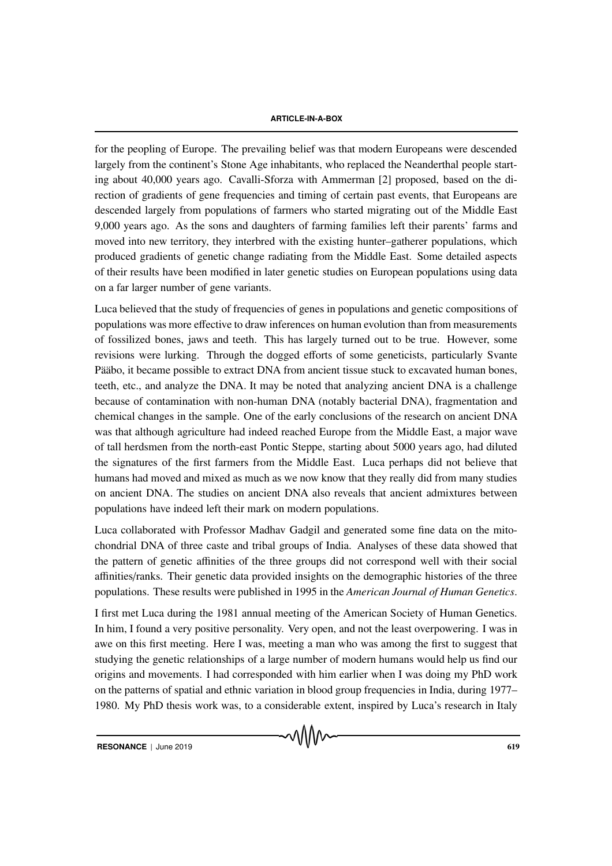for the peopling of Europe. The prevailing belief was that modern Europeans were descended largely from the continent's Stone Age inhabitants, who replaced the Neanderthal people starting about 40,000 years ago. Cavalli-Sforza with Ammerman [2] proposed, based on the direction of gradients of gene frequencies and timing of certain past events, that Europeans are descended largely from populations of farmers who started migrating out of the Middle East 9,000 years ago. As the sons and daughters of farming families left their parents' farms and moved into new territory, they interbred with the existing hunter–gatherer populations, which produced gradients of genetic change radiating from the Middle East. Some detailed aspects of their results have been modified in later genetic studies on European populations using data on a far larger number of gene variants.

Luca believed that the study of frequencies of genes in populations and genetic compositions of populations was more effective to draw inferences on human evolution than from measurements of fossilized bones, jaws and teeth. This has largely turned out to be true. However, some revisions were lurking. Through the dogged efforts of some geneticists, particularly Svante Pääbo, it became possible to extract DNA from ancient tissue stuck to excavated human bones, teeth, etc., and analyze the DNA. It may be noted that analyzing ancient DNA is a challenge because of contamination with non-human DNA (notably bacterial DNA), fragmentation and chemical changes in the sample. One of the early conclusions of the research on ancient DNA was that although agriculture had indeed reached Europe from the Middle East, a major wave of tall herdsmen from the north-east Pontic Steppe, starting about 5000 years ago, had diluted the signatures of the first farmers from the Middle East. Luca perhaps did not believe that humans had moved and mixed as much as we now know that they really did from many studies on ancient DNA. The studies on ancient DNA also reveals that ancient admixtures between populations have indeed left their mark on modern populations.

Luca collaborated with Professor Madhav Gadgil and generated some fine data on the mitochondrial DNA of three caste and tribal groups of India. Analyses of these data showed that the pattern of genetic affinities of the three groups did not correspond well with their social affinities/ranks. Their genetic data provided insights on the demographic histories of the three populations. These results were published in 1995 in the *American Journal of Human Genetics*.

I first met Luca during the 1981 annual meeting of the American Society of Human Genetics. In him, I found a very positive personality. Very open, and not the least overpowering. I was in awe on this first meeting. Here I was, meeting a man who was among the first to suggest that studying the genetic relationships of a large number of modern humans would help us find our origins and movements. I had corresponded with him earlier when I was doing my PhD work on the patterns of spatial and ethnic variation in blood group frequencies in India, during 1977– 1980. My PhD thesis work was, to a considerable extent, inspired by Luca's research in Italy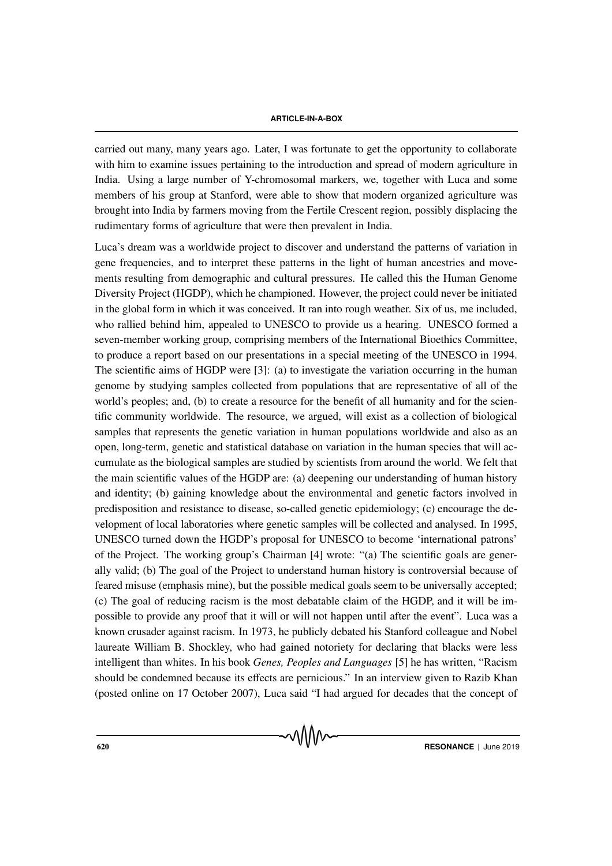carried out many, many years ago. Later, I was fortunate to get the opportunity to collaborate with him to examine issues pertaining to the introduction and spread of modern agriculture in India. Using a large number of Y-chromosomal markers, we, together with Luca and some members of his group at Stanford, were able to show that modern organized agriculture was brought into India by farmers moving from the Fertile Crescent region, possibly displacing the rudimentary forms of agriculture that were then prevalent in India.

Luca's dream was a worldwide project to discover and understand the patterns of variation in gene frequencies, and to interpret these patterns in the light of human ancestries and movements resulting from demographic and cultural pressures. He called this the Human Genome Diversity Project (HGDP), which he championed. However, the project could never be initiated in the global form in which it was conceived. It ran into rough weather. Six of us, me included, who rallied behind him, appealed to UNESCO to provide us a hearing. UNESCO formed a seven-member working group, comprising members of the International Bioethics Committee, to produce a report based on our presentations in a special meeting of the UNESCO in 1994. The scientific aims of HGDP were [3]: (a) to investigate the variation occurring in the human genome by studying samples collected from populations that are representative of all of the world's peoples; and, (b) to create a resource for the benefit of all humanity and for the scientific community worldwide. The resource, we argued, will exist as a collection of biological samples that represents the genetic variation in human populations worldwide and also as an open, long-term, genetic and statistical database on variation in the human species that will accumulate as the biological samples are studied by scientists from around the world. We felt that the main scientific values of the HGDP are: (a) deepening our understanding of human history and identity; (b) gaining knowledge about the environmental and genetic factors involved in predisposition and resistance to disease, so-called genetic epidemiology; (c) encourage the development of local laboratories where genetic samples will be collected and analysed. In 1995, UNESCO turned down the HGDP's proposal for UNESCO to become 'international patrons' of the Project. The working group's Chairman [4] wrote: "(a) The scientific goals are generally valid; (b) The goal of the Project to understand human history is controversial because of feared misuse (emphasis mine), but the possible medical goals seem to be universally accepted; (c) The goal of reducing racism is the most debatable claim of the HGDP, and it will be impossible to provide any proof that it will or will not happen until after the event". Luca was a known crusader against racism. In 1973, he publicly debated his Stanford colleague and Nobel laureate William B. Shockley, who had gained notoriety for declaring that blacks were less intelligent than whites. In his book *Genes, Peoples and Languages* [5] he has written, "Racism should be condemned because its effects are pernicious." In an interview given to Razib Khan (posted online on 17 October 2007), Luca said "I had argued for decades that the concept of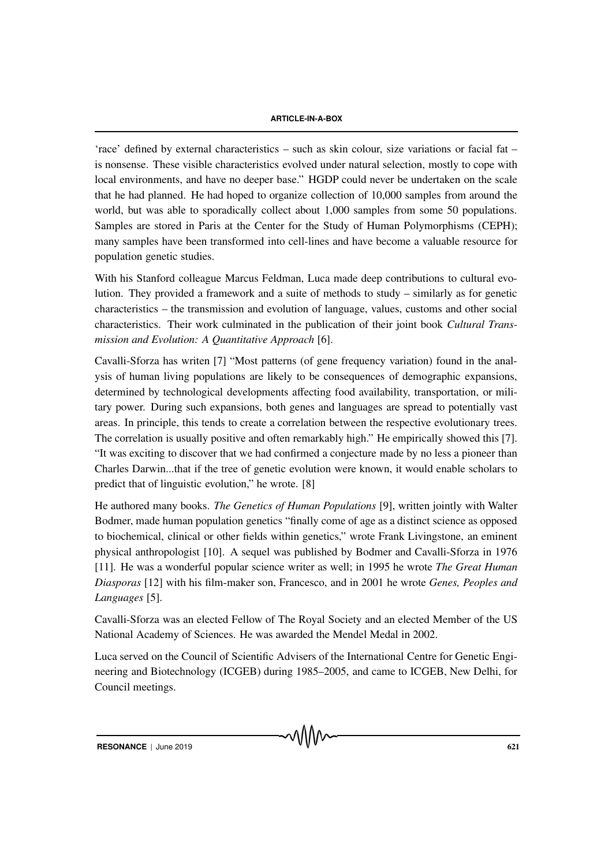'race' defined by external characteristics – such as skin colour, size variations or facial fat – is nonsense. These visible characteristics evolved under natural selection, mostly to cope with local environments, and have no deeper base." HGDP could never be undertaken on the scale that he had planned. He had hoped to organize collection of 10,000 samples from around the world, but was able to sporadically collect about 1,000 samples from some 50 populations. Samples are stored in Paris at the Center for the Study of Human Polymorphisms (CEPH); many samples have been transformed into cell-lines and have become a valuable resource for population genetic studies.

With his Stanford colleague Marcus Feldman, Luca made deep contributions to cultural evolution. They provided a framework and a suite of methods to study – similarly as for genetic characteristics – the transmission and evolution of language, values, customs and other social characteristics. Their work culminated in the publication of their joint book *Cultural Transmission and Evolution: A Quantitative Approach* [6].

Cavalli-Sforza has writen [7] "Most patterns (of gene frequency variation) found in the analysis of human living populations are likely to be consequences of demographic expansions, determined by technological developments affecting food availability, transportation, or military power. During such expansions, both genes and languages are spread to potentially vast areas. In principle, this tends to create a correlation between the respective evolutionary trees. The correlation is usually positive and often remarkably high." He empirically showed this [7]. "It was exciting to discover that we had confirmed a conjecture made by no less a pioneer than Charles Darwin...that if the tree of genetic evolution were known, it would enable scholars to predict that of linguistic evolution," he wrote. [8]

He authored many books. *The Genetics of Human Populations* [9], written jointly with Walter Bodmer, made human population genetics "finally come of age as a distinct science as opposed to biochemical, clinical or other fields within genetics," wrote Frank Livingstone, an eminent physical anthropologist [10]. A sequel was published by Bodmer and Cavalli-Sforza in 1976 [11]. He was a wonderful popular science writer as well; in 1995 he wrote *The Great Human Diasporas* [12] with his film-maker son, Francesco, and in 2001 he wrote *Genes, Peoples and Languages* [5].

Cavalli-Sforza was an elected Fellow of The Royal Society and an elected Member of the US National Academy of Sciences. He was awarded the Mendel Medal in 2002.

Luca served on the Council of Scientific Advisers of the International Centre for Genetic Engineering and Biotechnology (ICGEB) during 1985–2005, and came to ICGEB, New Delhi, for Council meetings.